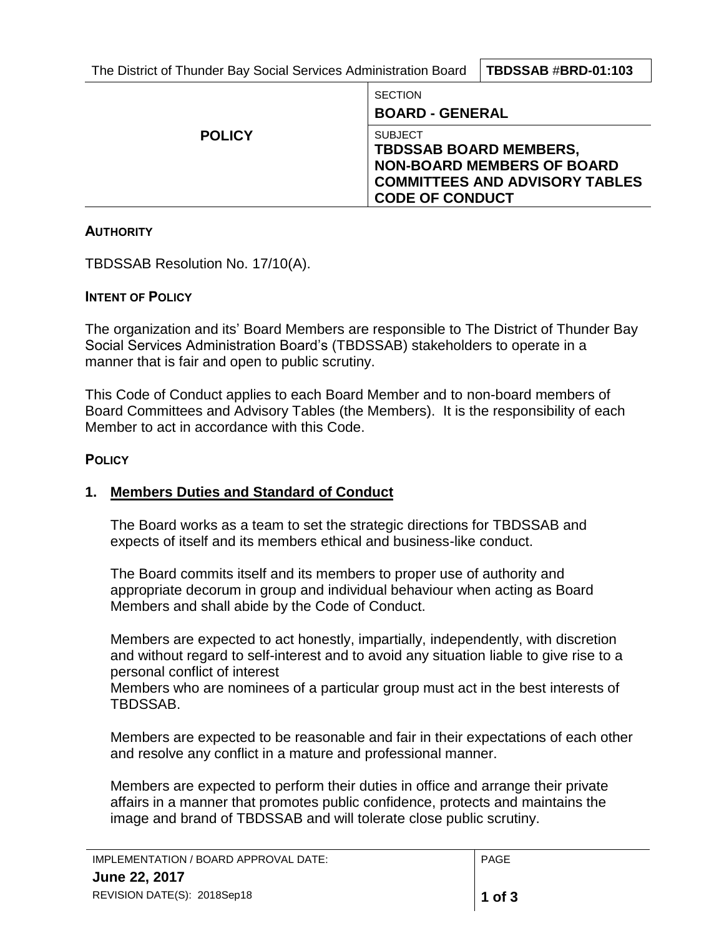| The District of Thunder Bay Social Services Administration Board   TBDSSAB #BRD-01:103 |  |
|----------------------------------------------------------------------------------------|--|
|----------------------------------------------------------------------------------------|--|

|               | <b>SECTION</b><br><b>BOARD - GENERAL</b>                                                                                                                |
|---------------|---------------------------------------------------------------------------------------------------------------------------------------------------------|
| <b>POLICY</b> | <b>SUBJECT</b><br><b>TBDSSAB BOARD MEMBERS,</b><br><b>NON-BOARD MEMBERS OF BOARD</b><br><b>COMMITTEES AND ADVISORY TABLES</b><br><b>CODE OF CONDUCT</b> |

### **AUTHORITY**

TBDSSAB Resolution No. 17/10(A).

## **INTENT OF POLICY**

The organization and its' Board Members are responsible to The District of Thunder Bay Social Services Administration Board's (TBDSSAB) stakeholders to operate in a manner that is fair and open to public scrutiny.

This Code of Conduct applies to each Board Member and to non-board members of Board Committees and Advisory Tables (the Members). It is the responsibility of each Member to act in accordance with this Code.

## **POLICY**

# **1. Members Duties and Standard of Conduct**

The Board works as a team to set the strategic directions for TBDSSAB and expects of itself and its members ethical and business-like conduct.

The Board commits itself and its members to proper use of authority and appropriate decorum in group and individual behaviour when acting as Board Members and shall abide by the Code of Conduct.

Members are expected to act honestly, impartially, independently, with discretion and without regard to self-interest and to avoid any situation liable to give rise to a personal conflict of interest

Members who are nominees of a particular group must act in the best interests of TBDSSAB.

Members are expected to be reasonable and fair in their expectations of each other and resolve any conflict in a mature and professional manner.

Members are expected to perform their duties in office and arrange their private affairs in a manner that promotes public confidence, protects and maintains the image and brand of TBDSSAB and will tolerate close public scrutiny.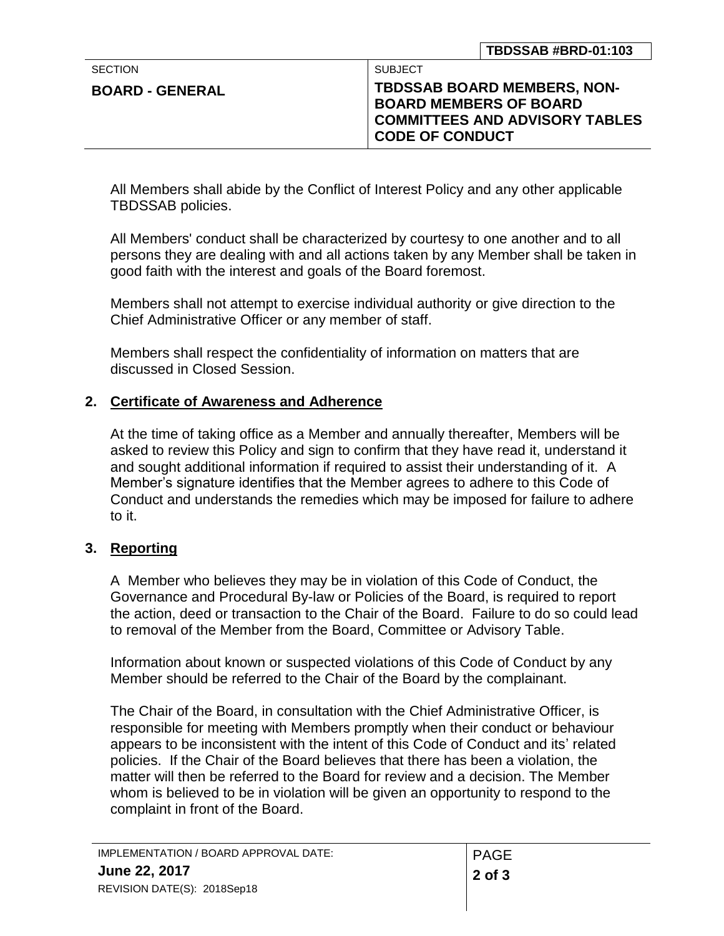| <b>SECTION</b>         | SUBJECT                                                                                          |
|------------------------|--------------------------------------------------------------------------------------------------|
| <b>BOARD - GENERAL</b> | <b>TBDSSAB BOARD MEMBERS, NON-</b>                                                               |
|                        | <b>BOARD MEMBERS OF BOARD</b><br><b>COMMITTEES AND ADVISORY TABLES</b><br><b>CODE OF CONDUCT</b> |

All Members shall abide by the Conflict of Interest Policy and any other applicable TBDSSAB policies.

All Members' conduct shall be characterized by courtesy to one another and to all persons they are dealing with and all actions taken by any Member shall be taken in good faith with the interest and goals of the Board foremost.

Members shall not attempt to exercise individual authority or give direction to the Chief Administrative Officer or any member of staff.

Members shall respect the confidentiality of information on matters that are discussed in Closed Session.

# **2. Certificate of Awareness and Adherence**

At the time of taking office as a Member and annually thereafter, Members will be asked to review this Policy and sign to confirm that they have read it, understand it and sought additional information if required to assist their understanding of it. A Member's signature identifies that the Member agrees to adhere to this Code of Conduct and understands the remedies which may be imposed for failure to adhere to it.

# **3. Reporting**

A Member who believes they may be in violation of this Code of Conduct, the Governance and Procedural By-law or Policies of the Board, is required to report the action, deed or transaction to the Chair of the Board. Failure to do so could lead to removal of the Member from the Board, Committee or Advisory Table.

Information about known or suspected violations of this Code of Conduct by any Member should be referred to the Chair of the Board by the complainant.

The Chair of the Board, in consultation with the Chief Administrative Officer, is responsible for meeting with Members promptly when their conduct or behaviour appears to be inconsistent with the intent of this Code of Conduct and its' related policies. If the Chair of the Board believes that there has been a violation, the matter will then be referred to the Board for review and a decision. The Member whom is believed to be in violation will be given an opportunity to respond to the complaint in front of the Board.